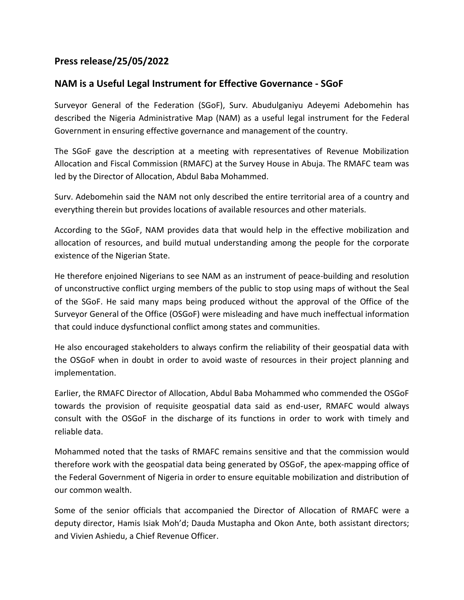## **Press release/25/05/2022**

## **NAM is a Useful Legal Instrument for Effective Governance - SGoF**

Surveyor General of the Federation (SGoF), Surv. Abudulganiyu Adeyemi Adebomehin has described the Nigeria Administrative Map (NAM) as a useful legal instrument for the Federal Government in ensuring effective governance and management of the country.

The SGoF gave the description at a meeting with representatives of Revenue Mobilization Allocation and Fiscal Commission (RMAFC) at the Survey House in Abuja. The RMAFC team was led by the Director of Allocation, Abdul Baba Mohammed.

Surv. Adebomehin said the NAM not only described the entire territorial area of a country and everything therein but provides locations of available resources and other materials.

According to the SGoF, NAM provides data that would help in the effective mobilization and allocation of resources, and build mutual understanding among the people for the corporate existence of the Nigerian State.

He therefore enjoined Nigerians to see NAM as an instrument of peace-building and resolution of unconstructive conflict urging members of the public to stop using maps of without the Seal of the SGoF. He said many maps being produced without the approval of the Office of the Surveyor General of the Office (OSGoF) were misleading and have much ineffectual information that could induce dysfunctional conflict among states and communities.

He also encouraged stakeholders to always confirm the reliability of their geospatial data with the OSGoF when in doubt in order to avoid waste of resources in their project planning and implementation.

Earlier, the RMAFC Director of Allocation, Abdul Baba Mohammed who commended the OSGoF towards the provision of requisite geospatial data said as end-user, RMAFC would always consult with the OSGoF in the discharge of its functions in order to work with timely and reliable data.

Mohammed noted that the tasks of RMAFC remains sensitive and that the commission would therefore work with the geospatial data being generated by OSGoF, the apex-mapping office of the Federal Government of Nigeria in order to ensure equitable mobilization and distribution of our common wealth.

Some of the senior officials that accompanied the Director of Allocation of RMAFC were a deputy director, Hamis Isiak Moh'd; Dauda Mustapha and Okon Ante, both assistant directors; and Vivien Ashiedu, a Chief Revenue Officer.